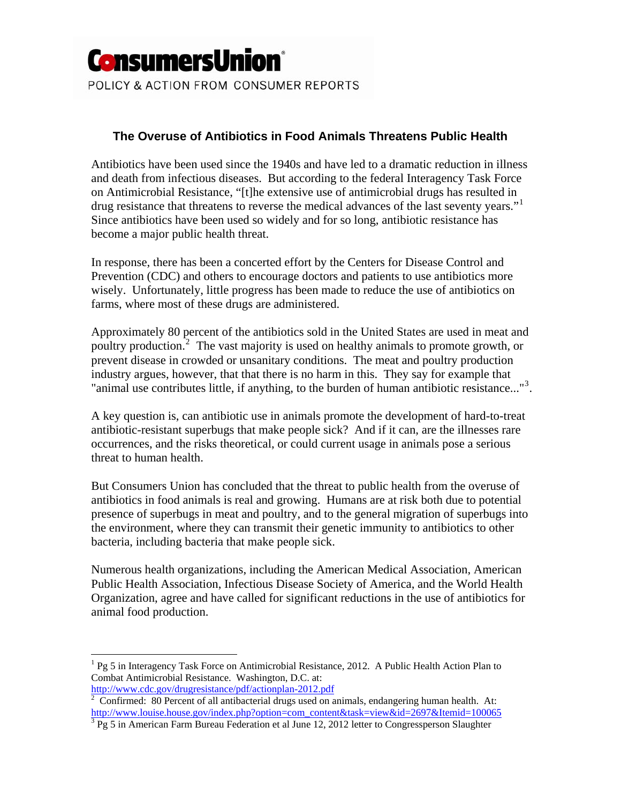

# **The Overuse of Antibiotics in Food Animals Threatens Public Health**

Antibiotics have been used since the 1940s and have led to a dramatic reduction in illness and death from infectious diseases. But according to the federal Interagency Task Force on Antimicrobial Resistance, "[t]he extensive use of antimicrobial drugs has resulted in drug resistance that threatens to reverse the medical advances of the last seventy years."<sup>[1](#page-0-0)</sup> Since antibiotics have been used so widely and for so long, antibiotic resistance has become a major public health threat.

In response, there has been a concerted effort by the Centers for Disease Control and Prevention (CDC) and others to encourage doctors and patients to use antibiotics more wisely. Unfortunately, little progress has been made to reduce the use of antibiotics on farms, where most of these drugs are administered.

Approximately 80 percent of the antibiotics sold in the United States are used in meat and poultry production.<sup>[2](#page-0-1)</sup> The vast majority is used on healthy animals to promote growth, or prevent disease in crowded or unsanitary conditions. The meat and poultry production industry argues, however, that that there is no harm in this. They say for example that "animal use contributes little, if anything, to the burden of human antibiotic resistance..."<sup>[3](#page-0-2)</sup>.

A key question is, can antibiotic use in animals promote the development of hard-to-treat antibiotic-resistant superbugs that make people sick? And if it can, are the illnesses rare occurrences, and the risks theoretical, or could current usage in animals pose a serious threat to human health.

But Consumers Union has concluded that the threat to public health from the overuse of antibiotics in food animals is real and growing. Humans are at risk both due to potential presence of superbugs in meat and poultry, and to the general migration of superbugs into the environment, where they can transmit their genetic immunity to antibiotics to other bacteria, including bacteria that make people sick.

Numerous health organizations, including the American Medical Association, American Public Health Association, Infectious Disease Society of America, and the World Health Organization, agree and have called for significant reductions in the use of antibiotics for animal food production.

1

<span id="page-0-0"></span><sup>&</sup>lt;sup>1</sup> Pg 5 in Interagency Task Force on Antimicrobial Resistance, 2012. A Public Health Action Plan to Combat Antimicrobial Resistance. Washington, D.C. at: [http://www.cdc.gov/drugresistance/pdf/actionplan-2012.pdf 2](http://www.cdc.gov/drugresistance/pdf/actionplan-2012.pdf)

<span id="page-0-1"></span>Confirmed: 80 Percent of all antibacterial drugs used on animals, endangering human health. At: http://www.louise.house.gov/index.php?option=com\_content&task=view&id=2697&Itemid=100065

<span id="page-0-2"></span><sup>&</sup>lt;sup>3</sup> Pg 5 in American Farm Bureau Federation et al June 12, 2012 letter to Congressperson Slaughter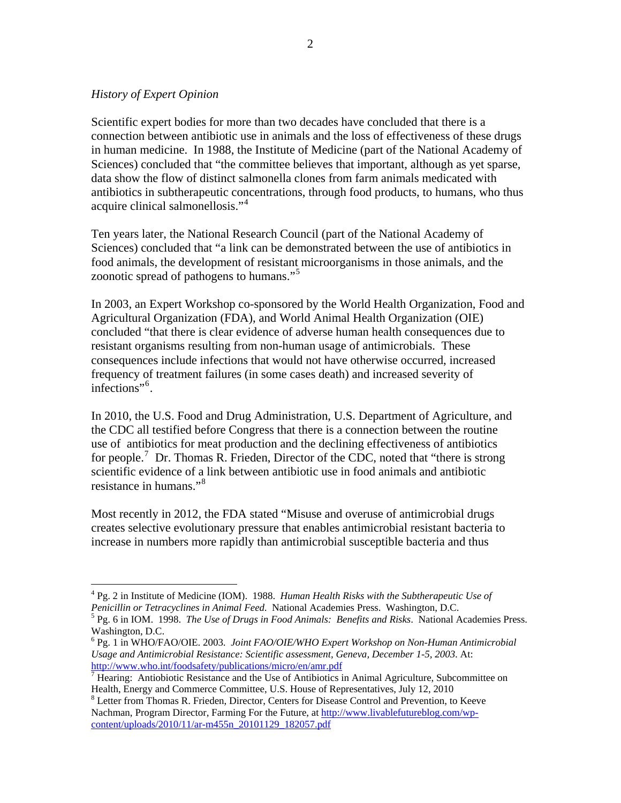### *History of Expert Opinion*

 $\overline{a}$ 

Scientific expert bodies for more than two decades have concluded that there is a connection between antibiotic use in animals and the loss of effectiveness of these drugs in human medicine. In 1988, the Institute of Medicine (part of the National Academy of Sciences) concluded that "the committee believes that important, although as yet sparse, data show the flow of distinct salmonella clones from farm animals medicated with antibiotics in subtherapeutic concentrations, through food products, to humans, who thus acquire clinical salmonellosis."[4](#page-1-0)

Ten years later, the National Research Council (part of the National Academy of Sciences) concluded that "a link can be demonstrated between the use of antibiotics in food animals, the development of resistant microorganisms in those animals, and the zoonotic spread of pathogens to humans."<sup>[5](#page-1-1)</sup>

In 2003, an Expert Workshop co-sponsored by the World Health Organization, Food and Agricultural Organization (FDA), and World Animal Health Organization (OIE) concluded "that there is clear evidence of adverse human health consequences due to resistant organisms resulting from non-human usage of antimicrobials. These consequences include infections that would not have otherwise occurred, increased frequency of treatment failures (in some cases death) and increased severity of infections"[6](#page-1-2) .

In 2010, the U.S. Food and Drug Administration, U.S. Department of Agriculture, and the CDC all testified before Congress that there is a connection between the routine use of antibiotics for meat production and the declining effectiveness of antibiotics for people.<sup>[7](#page-1-3)</sup> Dr. Thomas R. Frieden, Director of the CDC, noted that "there is strong scientific evidence of a link between antibiotic use in food animals and antibiotic resistance in humans."[8](#page-1-4)

Most recently in 2012, the FDA stated "Misuse and overuse of antimicrobial drugs creates selective evolutionary pressure that enables antimicrobial resistant bacteria to increase in numbers more rapidly than antimicrobial susceptible bacteria and thus

<span id="page-1-0"></span><sup>4</sup> Pg. 2 in Institute of Medicine (IOM). 1988. *Human Health Risks with the Subtherapeutic Use of Penicillin or Tetracyclines in Animal Feed*. National Academies Press. Washington, D.C. 5

<span id="page-1-1"></span>Pg. 6 in IOM. 1998. *The Use of Drugs in Food Animals: Benefits and Risks*. National Academies Press. Washington, D.C.

<span id="page-1-2"></span><sup>6</sup> Pg. 1 in WHO/FAO/OIE. 2003. *Joint FAO/OIE/WHO Expert Workshop on Non-Human Antimicrobial Usage and Antimicrobial Resistance: Scientific assessment, Geneva, December 1-5, 2003*. At: [http://www.who.int/foodsafety/publications/micro/en/amr.pdf 7](http://www.who.int/foodsafety/publications/micro/en/amr.pdf)

<span id="page-1-3"></span><sup>&</sup>lt;sup>7</sup> Hearing: Antiobiotic Resistance and the Use of Antibiotics in Animal Agriculture, Subcommittee on Health, Energy and Commerce Committee, U.S. House of Representatives, July 12, 2010 8

<span id="page-1-4"></span>Letter from Thomas R. Frieden, Director, Centers for Disease Control and Prevention, to Keeve Nachman, Program Director, Farming For the Future, at [http://www.livablefutureblog.com/wp](http://www.livablefutureblog.com/wp-content/uploads/2010/11/ar-m455n_20101129_182057.pdf)[content/uploads/2010/11/ar-m455n\\_20101129\\_182057.pdf](http://www.livablefutureblog.com/wp-content/uploads/2010/11/ar-m455n_20101129_182057.pdf)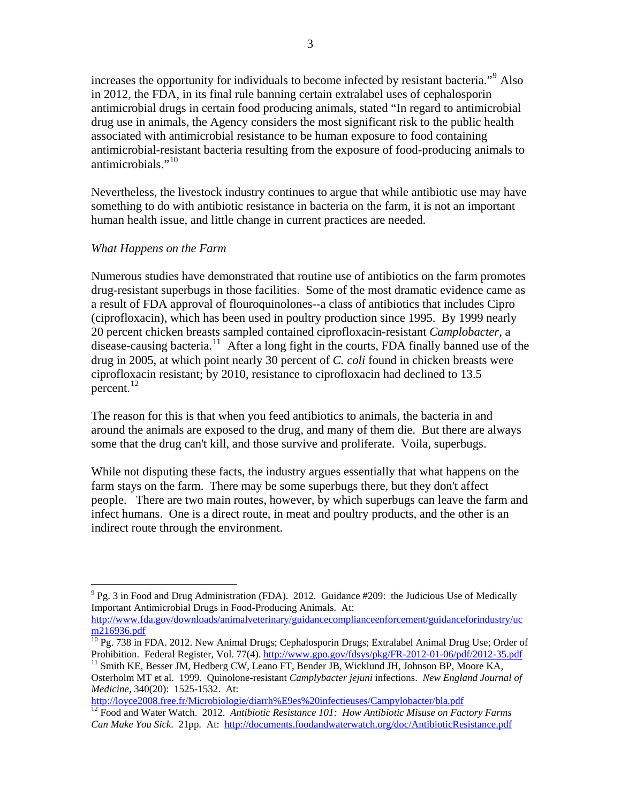increases the opportunity for individuals to become infected by resistant bacteria."<sup>[9](#page-2-0)</sup> Also in 2012, the FDA, in its final rule banning certain extralabel uses of cephalosporin antimicrobial drugs in certain food producing animals, stated "In regard to antimicrobial drug use in animals, the Agency considers the most significant risk to the public health associated with antimicrobial resistance to be human exposure to food containing antimicrobial-resistant bacteria resulting from the exposure of food-producing animals to antimicrobials." $^{10}$  $^{10}$  $^{10}$ 

Nevertheless, the livestock industry continues to argue that while antibiotic use may have something to do with antibiotic resistance in bacteria on the farm, it is not an important human health issue, and little change in current practices are needed.

#### *What Happens on the Farm*

Numerous studies have demonstrated that routine use of antibiotics on the farm promotes drug-resistant superbugs in those facilities. Some of the most dramatic evidence came as a result of FDA approval of flouroquinolones--a class of antibiotics that includes Cipro (ciprofloxacin), which has been used in poultry production since 1995. By 1999 nearly 20 percent chicken breasts sampled contained ciprofloxacin-resistant *Camplobacter*, a disease-causing bacteria.<sup>[11](#page-2-2)</sup> After a long fight in the courts, FDA finally banned use of the drug in 2005, at which point nearly 30 percent of *C. coli* found in chicken breasts were ciprofloxacin resistant; by 2010, resistance to ciprofloxacin had declined to 13.5 percent. $^{12}$  $^{12}$  $^{12}$ 

The reason for this is that when you feed antibiotics to animals, the bacteria in and around the animals are exposed to the drug, and many of them die. But there are always some that the drug can't kill, and those survive and proliferate. Voila, superbugs.

While not disputing these facts, the industry argues essentially that what happens on the farm stays on the farm. There may be some superbugs there, but they don't affect people. There are two main routes, however, by which superbugs can leave the farm and infect humans. One is a direct route, in meat and poultry products, and the other is an indirect route through the environment.

<span id="page-2-0"></span><sup>1</sup>  $9$  Pg. 3 in Food and Drug Administration (FDA). 2012. Guidance #209: the Judicious Use of Medically Important Antimicrobial Drugs in Food-Producing Animals. At:

[http://www.fda.gov/downloads/animalveterinary/guidancecomplianceenforcement/guidanceforindustry/uc](http://www.fda.gov/downloads/animalveterinary/guidancecomplianceenforcement/guidanceforindustry/ucm216936.pdf)

<span id="page-2-1"></span> $\frac{10}{10}$  Pg. 738 in FDA. 2012. New Animal Drugs; Cephalosporin Drugs; Extralabel Animal Drug Use; Order of Prohibition. Federal Register, Vol. 77(4). http://www.gpo.gov/fdsys/pkg/FR-2012-01-06/pdf/2012-35.pdf

<span id="page-2-2"></span><sup>&</sup>lt;sup>11</sup> Smith KE, Besser JM, Hedberg CW, Leano FT, Bender JB, Wicklund JH, Johnson BP, Moore KA, Osterholm MT et al. 1999. Quinolone-resistant *Camplybacter jejuni* infections. *New England Journal of Medicine*, 340(20): 1525-1532. At:<br>
http://loyce2008.free.fr/Microbiologie/diarrh%E9es%20infectieuses/Campylobacter/bla.pdf

<span id="page-2-3"></span><sup>&</sup>lt;sup>[12](http://loyce2008.free.fr/Microbiologie/diarrh%E9es%20infectieuses/Campylobacter/bla.pdf)</sup> Food and Water Watch. 2012. Antibiotic Resistance 101: How Antibiotic Misuse on Factory Farms *Can Make You Sick*. 21pp. At: <http://documents.foodandwaterwatch.org/doc/AntibioticResistance.pdf>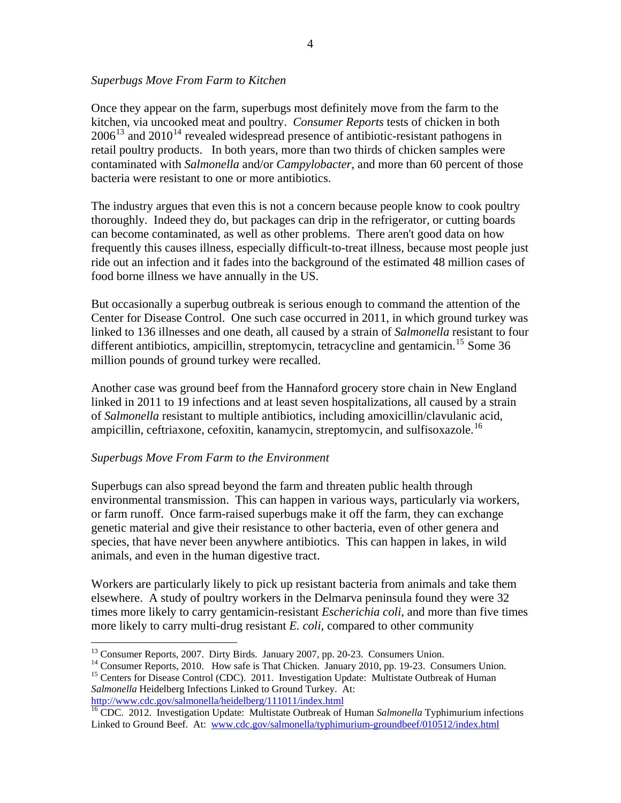#### *Superbugs Move From Farm to Kitchen*

Once they appear on the farm, superbugs most definitely move from the farm to the kitchen, via uncooked meat and poultry. *Consumer Reports* tests of chicken in both  $2006^{13}$  $2006^{13}$  $2006^{13}$  and  $2010^{14}$  $2010^{14}$  $2010^{14}$  revealed widespread presence of antibiotic-resistant pathogens in retail poultry products. In both years, more than two thirds of chicken samples were contaminated with *Salmonella* and/or *Campylobacter*, and more than 60 percent of those bacteria were resistant to one or more antibiotics.

The industry argues that even this is not a concern because people know to cook poultry thoroughly. Indeed they do, but packages can drip in the refrigerator, or cutting boards can become contaminated, as well as other problems. There aren't good data on how frequently this causes illness, especially difficult-to-treat illness, because most people just ride out an infection and it fades into the background of the estimated 48 million cases of food borne illness we have annually in the US.

But occasionally a superbug outbreak is serious enough to command the attention of the Center for Disease Control. One such case occurred in 2011, in which ground turkey was linked to 136 illnesses and one death, all caused by a strain of *Salmonella* resistant to four different antibiotics, ampicillin, streptomycin, tetracycline and gentamicin.<sup>[15](#page-3-2)</sup> Some 36 million pounds of ground turkey were recalled.

Another case was ground beef from the Hannaford grocery store chain in New England linked in 2011 to 19 infections and at least seven hospitalizations, all caused by a strain of *Salmonella* resistant to multiple antibiotics, including amoxicillin/clavulanic acid, ampicillin, ceftriaxone, cefoxitin, kanamycin, streptomycin, and sulfisoxazole.<sup>[16](#page-3-3)</sup>

### *Superbugs Move From Farm to the Environment*

 $\overline{a}$ 

Superbugs can also spread beyond the farm and threaten public health through environmental transmission. This can happen in various ways, particularly via workers, or farm runoff. Once farm-raised superbugs make it off the farm, they can exchange genetic material and give their resistance to other bacteria, even of other genera and species, that have never been anywhere antibiotics. This can happen in lakes, in wild animals, and even in the human digestive tract.

Workers are particularly likely to pick up resistant bacteria from animals and take them elsewhere. A study of poultry workers in the Delmarva peninsula found they were 32 times more likely to carry gentamicin-resistant *Escherichia coli*, and more than five times more likely to carry multi-drug resistant *E. coli*, compared to other community

<sup>&</sup>lt;sup>13</sup> Consumer Reports, 2007. Dirty Birds. January 2007, pp. 20-23. Consumers Union.

<span id="page-3-2"></span><span id="page-3-1"></span><span id="page-3-0"></span><sup>&</sup>lt;sup>14</sup> Consumer Reports, 2010. How safe is That Chicken. January 2010, pp. 19-23. Consumers Union. <sup>15</sup> Centers for Disease Control (CDC). 2011. Investigation Update: Multistate Outbreak of Human *Salmonella* Heidelberg Infections Linked to Ground Turkey. At:<br>http://www.cdc.gov/salmonella/heidelberg/111011/index.html

<span id="page-3-3"></span><sup>&</sup>lt;sup>[16](http://www.cdc.gov/salmonella/heidelberg/111011/index.html)</sup> CDC. 2012. Investigation Update: Multistate Outbreak of Human *Salmonella* Typhimurium infections Linked to Ground Beef. At: [www.cdc.gov/salmonella/typhimurium-groundbeef/010512/index.html](http://www.cdc.gov/salmonella/typhimurium-groundbeef/010512/index.html)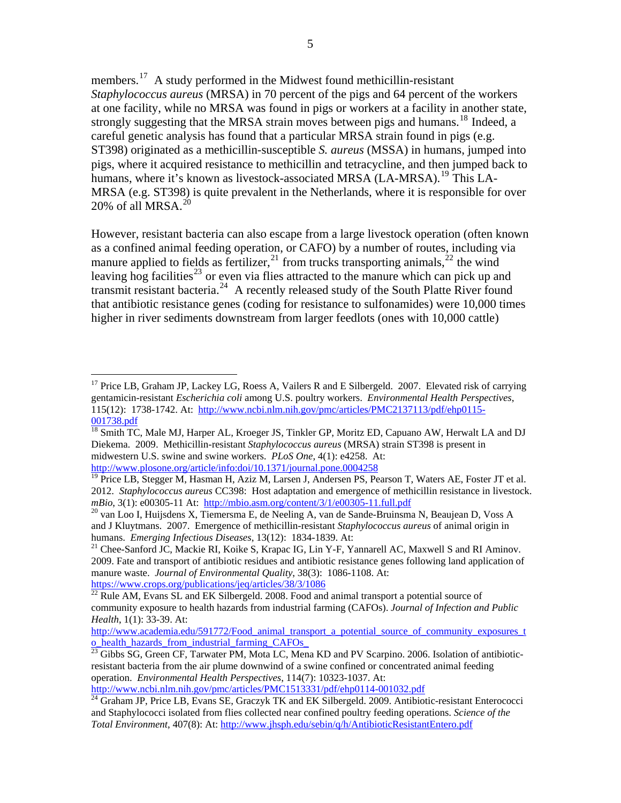members.[17](#page-4-0) A study performed in the Midwest found methicillin-resistant *Staphylococcus aureus* (MRSA) in 70 percent of the pigs and 64 percent of the workers at one facility, while no MRSA was found in pigs or workers at a facility in another state, strongly suggesting that the MRSA strain moves between pigs and humans.<sup>[18](#page-4-1)</sup> Indeed, a careful genetic analysis has found that a particular MRSA strain found in pigs (e.g. ST398) originated as a methicillin-susceptible *S. aureus* (MSSA) in humans, jumped into pigs, where it acquired resistance to methicillin and tetracycline, and then jumped back to humans, where it's known as livestock-associated MRSA (LA-MRSA).<sup>[19](#page-4-2)</sup> This LA-MRSA (e.g. ST398) is quite prevalent in the Netherlands, where it is responsible for over [20](#page-4-3)% of all MRSA. $^{20}$ 

However, resistant bacteria can also escape from a large livestock operation (often known as a confined animal feeding operation, or CAFO) by a number of routes, including via manure applied to fields as fertilizer,  $^{21}$  $^{21}$  $^{21}$  from trucks transporting animals,  $^{22}$  $^{22}$  $^{22}$  the wind leaving hog facilities<sup>[23](#page-4-6)</sup> or even via flies attracted to the manure which can pick up and transmit resistant bacteria.<sup>[24](#page-4-7)</sup> A recently released study of the South Platte River found that antibiotic resistance genes (coding for resistance to sulfonamides) were 10,000 times higher in river sediments downstream from larger feedlots (ones with 10,000 cattle)

 $\overline{a}$ 

<span id="page-4-0"></span><sup>&</sup>lt;sup>17</sup> Price LB, Graham JP, Lackey LG, Roess A, Vailers R and E Silbergeld. 2007. Elevated risk of carrying gentamicin-resistant *Escherichia coli* among U.S. poultry workers. *Environmental Health Perspectives*, 115(12): 1738-1742. At: [http://www.ncbi.nlm.nih.gov/pmc/articles/PMC2137113/pdf/ehp0115-](http://www.ncbi.nlm.nih.gov/pmc/articles/PMC2137113/pdf/ehp0115-001738.pdf)

<span id="page-4-1"></span><sup>001738.</sup>pdf<br><sup>18</sup> Smith TC, Male MJ, Harper AL, Kroeger JS, Tinkler GP, Moritz ED, Capuano AW, Herwalt LA and DJ Diekema. 2009. Methicillin-resistant *Staphylococcus aureus* (MRSA) strain ST398 is present in midwestern U.S. swine and swine workers. *PLoS One*, 4(1): e4258. At:

<http://www.plosone.org/article/info:doi/10.1371/journal.pone.0004258><br><sup>[19](http://www.plosone.org/article/info:doi/10.1371/journal.pone.0004258)</sup> Price LB, Stegger M, Hasman H, Aziz M, Larsen J, Andersen PS, Pearson T, Waters AE, Foster JT et al.

<span id="page-4-2"></span><sup>2012.</sup> *Staphylococcus aureus* CC398: Host adaptation and emergence of methicillin resistance in livestock. *mBio*, 3(1): e00305-11 At: <http://mbio.asm.org/content/3/1/e00305-11.full.pdf><br><sup>20</sup> van Loo I, Huijsdens X, Tiemersma E, de Neeling A, van de Sande-Bruinsma N, Beaujean D, Voss A

<span id="page-4-3"></span>and J Kluytmans. 2007. Emergence of methicillin-resistant *Staphylococcus aureus* of animal origin in humans. *Emerging Infectious Diseases*, 13(12): 1834-1839. At: <sup>21</sup> Chee-Sanford JC, Mackie RI, Koike S, Krapac IG, Lin Y-F, Yannarell AC, Maxwell S and RI Aminov.

<span id="page-4-4"></span><sup>2009.</sup> Fate and transport of antibiotic residues and antibiotic resistance genes following land application of manure waste. *Journal of Environmental Quality*, 38(3): 1086-1108. At:

<span id="page-4-5"></span><https://www.crops.org/publications/jeq/articles/38/3/1086><br><sup>22</sup> Rule AM, Evans SL and EK Silbergeld. 2008. Food and animal transport a potential source of community exposure to health hazards from industrial farming (CAFOs). *Journal of Infection and Public Health*, 1(1): 33-39. At:

[http://www.academia.edu/591772/Food\\_animal\\_transport\\_a\\_potential\\_source\\_of\\_community\\_exposures\\_t](http://www.academia.edu/591772/Food_animal_transport_a_potential_source_of_community_exposures_to_health_hazards_from_industrial_farming_CAFOs_) o\_health\_hazards\_from\_industrial\_farming\_CAFOs\_<br><sup>23</sup> Gibbs SG, Green CF, Tarwater PM, Mota LC, Mena KD and PV Scarpino. 2006. Isolation of antibiotic-

<span id="page-4-6"></span>resistant bacteria from the air plume downwind of a swine confined or concentrated animal feeding operation. *Environmental Health Perspectives*, 114(7): 10323-1037. At:<br>
http://www.ncbi.nlm.nih.gov/pmc/articles/PMC1513331/pdf/ehp0114-001032.pdf

<span id="page-4-7"></span> $\frac{1}{24}$  Graham JP, Price LB, Evans SE, Graczyk TK and EK Silbergeld. 2009. Antibiotic-resistant Enterococci and Staphylococci isolated from flies collected near confined poultry feeding operations. *Science of the Total Environment*, 407(8): At: <http://www.jhsph.edu/sebin/q/h/AntibioticResistantEntero.pdf>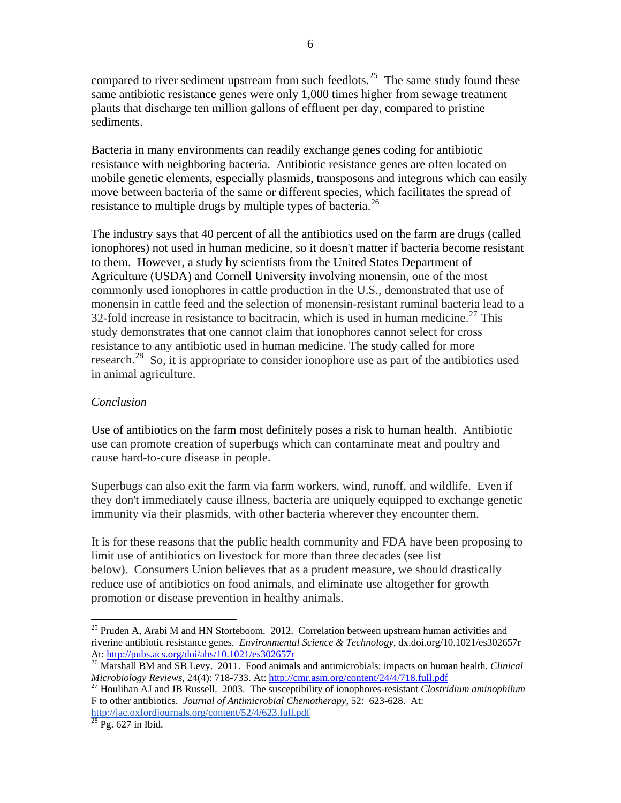compared to river sediment upstream from such feedlots.<sup>[25](#page-5-0)</sup> The same study found these same antibiotic resistance genes were only 1,000 times higher from sewage treatment plants that discharge ten million gallons of effluent per day, compared to pristine sediments.

Bacteria in many environments can readily exchange genes coding for antibiotic resistance with neighboring bacteria. Antibiotic resistance genes are often located on mobile genetic elements, especially plasmids, transposons and integrons which can easily move between bacteria of the same or different species, which facilitates the spread of resistance to multiple drugs by multiple types of bacteria.<sup>[26](#page-5-1)</sup>

The industry says that 40 percent of all the antibiotics used on the farm are drugs (called ionophores) not used in human medicine, so it doesn't matter if bacteria become resistant to them. However, a study by scientists from the United States Department of Agriculture (USDA) and Cornell University involving monensin, one of the most commonly used ionophores in cattle production in the U.S., demonstrated that use of monensin in cattle feed and the selection of monensin-resistant ruminal bacteria lead to a 32-fold increase in resistance to bacitracin, which is used in human medicine.<sup>[27](#page-5-2)</sup> This study demonstrates that one cannot claim that ionophores cannot select for cross resistance to any antibiotic used in human medicine. The study called for more research.[28](#page-5-3) So, it is appropriate to consider ionophore use as part of the antibiotics used in animal agriculture.

### *Conclusion*

Use of antibiotics on the farm most definitely poses a risk to human health. Antibiotic use can promote creation of superbugs which can contaminate meat and poultry and cause hard-to-cure disease in people.

Superbugs can also exit the farm via farm workers, wind, runoff, and wildlife. Even if they don't immediately cause illness, bacteria are uniquely equipped to exchange genetic immunity via their plasmids, with other bacteria wherever they encounter them.

It is for these reasons that the public health community and FDA have been proposing to limit use of antibiotics on livestock for more than three decades (see list below). Consumers Union believes that as a prudent measure, we should drastically reduce use of antibiotics on food animals, and eliminate use altogether for growth promotion or disease prevention in healthy animals.

 $\overline{a}$ 

<span id="page-5-0"></span> $25$  Pruden A, Arabi M and HN Storteboom. 2012. Correlation between upstream human activities and riverine antibiotic resistance genes. *Environmental Science & Technology*, dx.doi.org/10.1021/es302657r At:<http://pubs.acs.org/doi/abs/10.1021/es302657r><br><sup>26</sup> Marshall BM and SB Levy. 2011. Food animals and antimicrobials: impacts on human health. *Clinical* 

<span id="page-5-1"></span>*Microbiology Reviews*, 24(4): 718-733. At: http://cmr.asm.org/content/24/4/718.full.pdf<br><sup>27</sup> Houlihan AJ and JB Russell. 2003. The susceptibility of ionophores-resistant *Clostridium aminophilum* 

<span id="page-5-2"></span>F to other antibiotics. *Journal of Antimicrobial Chemotherapy*, 52: 623-628. At: <http://jac.oxfordjournals.org/content/52/4/623.full.pdf> 28 Pg. 627 in Ibid.

<span id="page-5-3"></span>